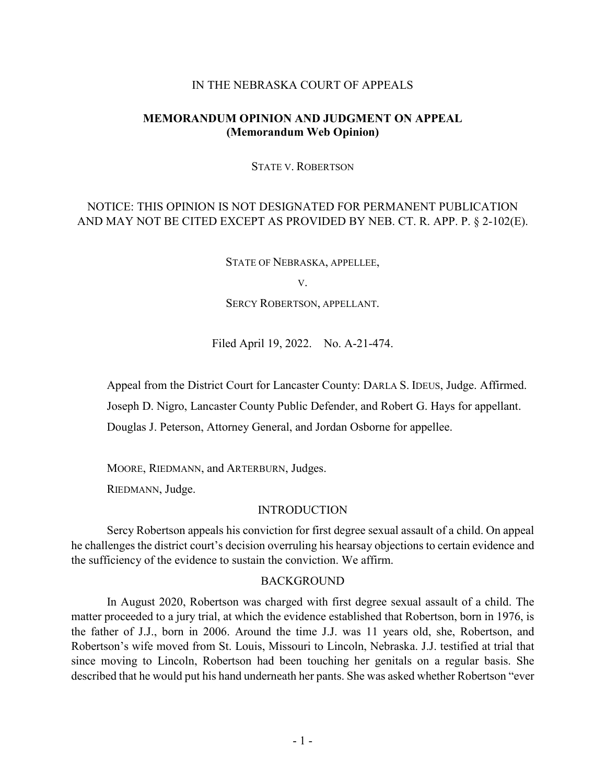#### IN THE NEBRASKA COURT OF APPEALS

## **MEMORANDUM OPINION AND JUDGMENT ON APPEAL (Memorandum Web Opinion)**

STATE V. ROBERTSON

# NOTICE: THIS OPINION IS NOT DESIGNATED FOR PERMANENT PUBLICATION AND MAY NOT BE CITED EXCEPT AS PROVIDED BY NEB. CT. R. APP. P. § 2-102(E).

STATE OF NEBRASKA, APPELLEE,

V.

SERCY ROBERTSON, APPELLANT.

Filed April 19, 2022. No. A-21-474.

Appeal from the District Court for Lancaster County: DARLA S. IDEUS, Judge. Affirmed.

Joseph D. Nigro, Lancaster County Public Defender, and Robert G. Hays for appellant.

Douglas J. Peterson, Attorney General, and Jordan Osborne for appellee.

MOORE, RIEDMANN, and ARTERBURN, Judges.

RIEDMANN, Judge.

#### INTRODUCTION

Sercy Robertson appeals his conviction for first degree sexual assault of a child. On appeal he challenges the district court's decision overruling his hearsay objections to certain evidence and the sufficiency of the evidence to sustain the conviction. We affirm.

#### BACKGROUND

In August 2020, Robertson was charged with first degree sexual assault of a child. The matter proceeded to a jury trial, at which the evidence established that Robertson, born in 1976, is the father of J.J., born in 2006. Around the time J.J. was 11 years old, she, Robertson, and Robertson's wife moved from St. Louis, Missouri to Lincoln, Nebraska. J.J. testified at trial that since moving to Lincoln, Robertson had been touching her genitals on a regular basis. She described that he would put his hand underneath her pants. She was asked whether Robertson "ever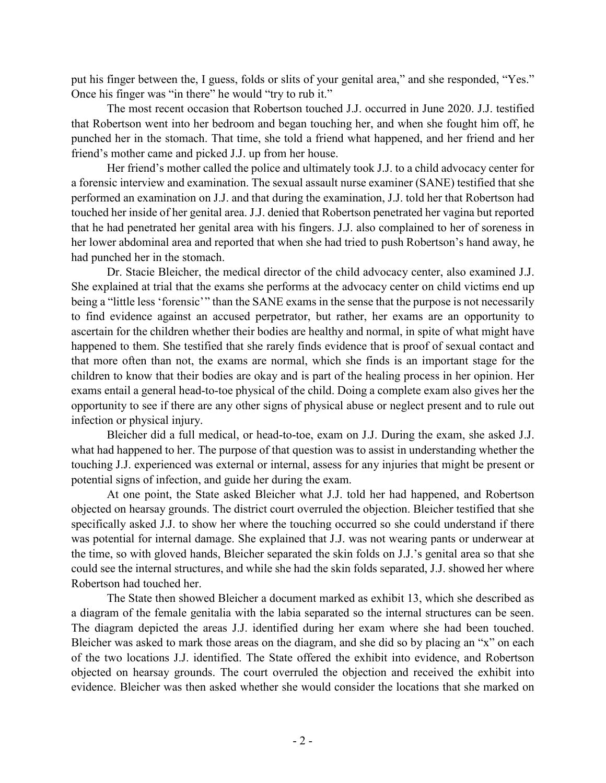put his finger between the, I guess, folds or slits of your genital area," and she responded, "Yes." Once his finger was "in there" he would "try to rub it."

The most recent occasion that Robertson touched J.J. occurred in June 2020. J.J. testified that Robertson went into her bedroom and began touching her, and when she fought him off, he punched her in the stomach. That time, she told a friend what happened, and her friend and her friend's mother came and picked J.J. up from her house.

Her friend's mother called the police and ultimately took J.J. to a child advocacy center for a forensic interview and examination. The sexual assault nurse examiner (SANE) testified that she performed an examination on J.J. and that during the examination, J.J. told her that Robertson had touched her inside of her genital area. J.J. denied that Robertson penetrated her vagina but reported that he had penetrated her genital area with his fingers. J.J. also complained to her of soreness in her lower abdominal area and reported that when she had tried to push Robertson's hand away, he had punched her in the stomach.

Dr. Stacie Bleicher, the medical director of the child advocacy center, also examined J.J. She explained at trial that the exams she performs at the advocacy center on child victims end up being a "little less 'forensic'" than the SANE exams in the sense that the purpose is not necessarily to find evidence against an accused perpetrator, but rather, her exams are an opportunity to ascertain for the children whether their bodies are healthy and normal, in spite of what might have happened to them. She testified that she rarely finds evidence that is proof of sexual contact and that more often than not, the exams are normal, which she finds is an important stage for the children to know that their bodies are okay and is part of the healing process in her opinion. Her exams entail a general head-to-toe physical of the child. Doing a complete exam also gives her the opportunity to see if there are any other signs of physical abuse or neglect present and to rule out infection or physical injury.

Bleicher did a full medical, or head-to-toe, exam on J.J. During the exam, she asked J.J. what had happened to her. The purpose of that question was to assist in understanding whether the touching J.J. experienced was external or internal, assess for any injuries that might be present or potential signs of infection, and guide her during the exam.

At one point, the State asked Bleicher what J.J. told her had happened, and Robertson objected on hearsay grounds. The district court overruled the objection. Bleicher testified that she specifically asked J.J. to show her where the touching occurred so she could understand if there was potential for internal damage. She explained that J.J. was not wearing pants or underwear at the time, so with gloved hands, Bleicher separated the skin folds on J.J.'s genital area so that she could see the internal structures, and while she had the skin folds separated, J.J. showed her where Robertson had touched her.

The State then showed Bleicher a document marked as exhibit 13, which she described as a diagram of the female genitalia with the labia separated so the internal structures can be seen. The diagram depicted the areas J.J. identified during her exam where she had been touched. Bleicher was asked to mark those areas on the diagram, and she did so by placing an "x" on each of the two locations J.J. identified. The State offered the exhibit into evidence, and Robertson objected on hearsay grounds. The court overruled the objection and received the exhibit into evidence. Bleicher was then asked whether she would consider the locations that she marked on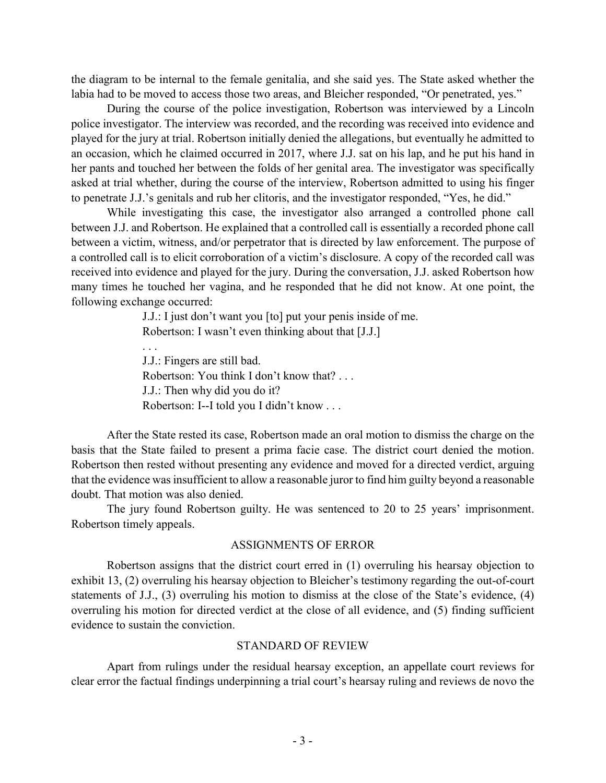the diagram to be internal to the female genitalia, and she said yes. The State asked whether the labia had to be moved to access those two areas, and Bleicher responded, "Or penetrated, yes."

During the course of the police investigation, Robertson was interviewed by a Lincoln police investigator. The interview was recorded, and the recording was received into evidence and played for the jury at trial. Robertson initially denied the allegations, but eventually he admitted to an occasion, which he claimed occurred in 2017, where J.J. sat on his lap, and he put his hand in her pants and touched her between the folds of her genital area. The investigator was specifically asked at trial whether, during the course of the interview, Robertson admitted to using his finger to penetrate J.J.'s genitals and rub her clitoris, and the investigator responded, "Yes, he did."

While investigating this case, the investigator also arranged a controlled phone call between J.J. and Robertson. He explained that a controlled call is essentially a recorded phone call between a victim, witness, and/or perpetrator that is directed by law enforcement. The purpose of a controlled call is to elicit corroboration of a victim's disclosure. A copy of the recorded call was received into evidence and played for the jury. During the conversation, J.J. asked Robertson how many times he touched her vagina, and he responded that he did not know. At one point, the following exchange occurred:

> J.J.: I just don't want you [to] put your penis inside of me. Robertson: I wasn't even thinking about that [J.J.]

. . . J.J.: Fingers are still bad. Robertson: You think I don't know that? . . . J.J.: Then why did you do it? Robertson: I--I told you I didn't know . . .

After the State rested its case, Robertson made an oral motion to dismiss the charge on the basis that the State failed to present a prima facie case. The district court denied the motion. Robertson then rested without presenting any evidence and moved for a directed verdict, arguing that the evidence was insufficient to allow a reasonable juror to find him guilty beyond a reasonable doubt. That motion was also denied.

The jury found Robertson guilty. He was sentenced to 20 to 25 years' imprisonment. Robertson timely appeals.

#### ASSIGNMENTS OF ERROR

Robertson assigns that the district court erred in (1) overruling his hearsay objection to exhibit 13, (2) overruling his hearsay objection to Bleicher's testimony regarding the out-of-court statements of J.J., (3) overruling his motion to dismiss at the close of the State's evidence, (4) overruling his motion for directed verdict at the close of all evidence, and (5) finding sufficient evidence to sustain the conviction.

#### STANDARD OF REVIEW

Apart from rulings under the residual hearsay exception, an appellate court reviews for clear error the factual findings underpinning a trial court's hearsay ruling and reviews de novo the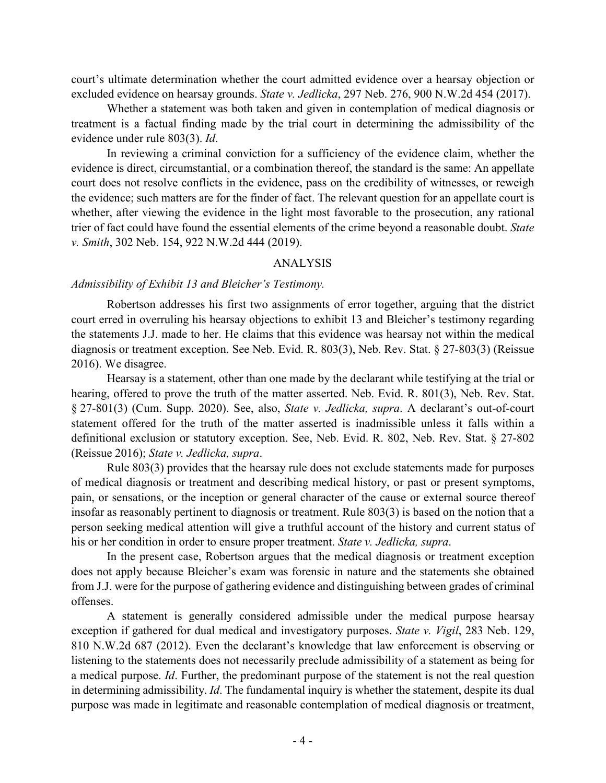court's ultimate determination whether the court admitted evidence over a hearsay objection or excluded evidence on hearsay grounds. *State v. Jedlicka*, 297 Neb. 276, 900 N.W.2d 454 (2017).

Whether a statement was both taken and given in contemplation of medical diagnosis or treatment is a factual finding made by the trial court in determining the admissibility of the evidence under rule 803(3). *Id*.

In reviewing a criminal conviction for a sufficiency of the evidence claim, whether the evidence is direct, circumstantial, or a combination thereof, the standard is the same: An appellate court does not resolve conflicts in the evidence, pass on the credibility of witnesses, or reweigh the evidence; such matters are for the finder of fact. The relevant question for an appellate court is whether, after viewing the evidence in the light most favorable to the prosecution, any rational trier of fact could have found the essential elements of the crime beyond a reasonable doubt. *State v. Smith*, 302 Neb. 154, 922 N.W.2d 444 (2019).

### ANALYSIS

#### *Admissibility of Exhibit 13 and Bleicher's Testimony.*

Robertson addresses his first two assignments of error together, arguing that the district court erred in overruling his hearsay objections to exhibit 13 and Bleicher's testimony regarding the statements J.J. made to her. He claims that this evidence was hearsay not within the medical diagnosis or treatment exception. See Neb. Evid. R. 803(3), Neb. Rev. Stat. § 27-803(3) (Reissue 2016). We disagree.

Hearsay is a statement, other than one made by the declarant while testifying at the trial or hearing, offered to prove the truth of the matter asserted. Neb. Evid. R. 801(3), Neb. Rev. Stat. § 27-801(3) (Cum. Supp. 2020). See, also, *State v. Jedlicka, supra*. A declarant's out-of-court statement offered for the truth of the matter asserted is inadmissible unless it falls within a definitional exclusion or statutory exception. See, Neb. Evid. R. 802, Neb. Rev. Stat. § 27-802 (Reissue 2016); *State v. Jedlicka, supra*.

Rule 803(3) provides that the hearsay rule does not exclude statements made for purposes of medical diagnosis or treatment and describing medical history, or past or present symptoms, pain, or sensations, or the inception or general character of the cause or external source thereof insofar as reasonably pertinent to diagnosis or treatment. Rule 803(3) is based on the notion that a person seeking medical attention will give a truthful account of the history and current status of his or her condition in order to ensure proper treatment. *State v. Jedlicka, supra*.

In the present case, Robertson argues that the medical diagnosis or treatment exception does not apply because Bleicher's exam was forensic in nature and the statements she obtained from J.J. were for the purpose of gathering evidence and distinguishing between grades of criminal offenses.

A statement is generally considered admissible under the medical purpose hearsay exception if gathered for dual medical and investigatory purposes. *State v. Vigil*, 283 Neb. 129, 810 N.W.2d 687 (2012). Even the declarant's knowledge that law enforcement is observing or listening to the statements does not necessarily preclude admissibility of a statement as being for a medical purpose. *Id*. Further, the predominant purpose of the statement is not the real question in determining admissibility. *Id*. The fundamental inquiry is whether the statement, despite its dual purpose was made in legitimate and reasonable contemplation of medical diagnosis or treatment,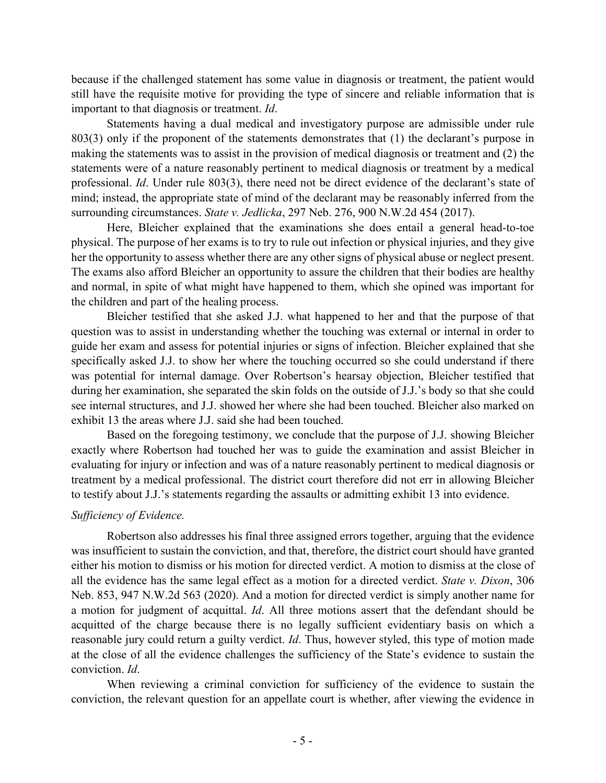because if the challenged statement has some value in diagnosis or treatment, the patient would still have the requisite motive for providing the type of sincere and reliable information that is important to that diagnosis or treatment. *Id*.

Statements having a dual medical and investigatory purpose are admissible under rule 803(3) only if the proponent of the statements demonstrates that (1) the declarant's purpose in making the statements was to assist in the provision of medical diagnosis or treatment and (2) the statements were of a nature reasonably pertinent to medical diagnosis or treatment by a medical professional. *Id*. Under rule 803(3), there need not be direct evidence of the declarant's state of mind; instead, the appropriate state of mind of the declarant may be reasonably inferred from the surrounding circumstances. *State v. Jedlicka*, 297 Neb. 276, 900 N.W.2d 454 (2017).

Here, Bleicher explained that the examinations she does entail a general head-to-toe physical. The purpose of her exams is to try to rule out infection or physical injuries, and they give her the opportunity to assess whether there are any other signs of physical abuse or neglect present. The exams also afford Bleicher an opportunity to assure the children that their bodies are healthy and normal, in spite of what might have happened to them, which she opined was important for the children and part of the healing process.

Bleicher testified that she asked J.J. what happened to her and that the purpose of that question was to assist in understanding whether the touching was external or internal in order to guide her exam and assess for potential injuries or signs of infection. Bleicher explained that she specifically asked J.J. to show her where the touching occurred so she could understand if there was potential for internal damage. Over Robertson's hearsay objection, Bleicher testified that during her examination, she separated the skin folds on the outside of J.J.'s body so that she could see internal structures, and J.J. showed her where she had been touched. Bleicher also marked on exhibit 13 the areas where J.J. said she had been touched.

Based on the foregoing testimony, we conclude that the purpose of J.J. showing Bleicher exactly where Robertson had touched her was to guide the examination and assist Bleicher in evaluating for injury or infection and was of a nature reasonably pertinent to medical diagnosis or treatment by a medical professional. The district court therefore did not err in allowing Bleicher to testify about J.J.'s statements regarding the assaults or admitting exhibit 13 into evidence.

## *Sufficiency of Evidence.*

Robertson also addresses his final three assigned errors together, arguing that the evidence was insufficient to sustain the conviction, and that, therefore, the district court should have granted either his motion to dismiss or his motion for directed verdict. A motion to dismiss at the close of all the evidence has the same legal effect as a motion for a directed verdict. *State v. Dixon*, 306 Neb. 853, 947 N.W.2d 563 (2020). And a motion for directed verdict is simply another name for a motion for judgment of acquittal. *Id*. All three motions assert that the defendant should be acquitted of the charge because there is no legally sufficient evidentiary basis on which a reasonable jury could return a guilty verdict. *Id*. Thus, however styled, this type of motion made at the close of all the evidence challenges the sufficiency of the State's evidence to sustain the conviction. *Id*.

When reviewing a criminal conviction for sufficiency of the evidence to sustain the conviction, the relevant question for an appellate court is whether, after viewing the evidence in